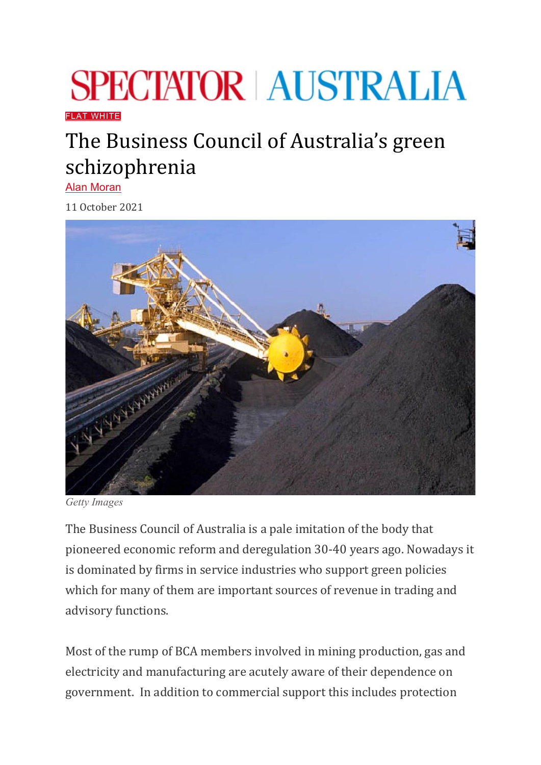## **SPECTATOR AUSTRALIA**

[FLAT WHITE](https://www.spectator.com.au/category/flat-white/)

## The Business Council of Australia's green schizophrenia

[Alan Moran](https://www.spectator.com.au/author/alanmoran/)

11 October 2021



*Getty Images*

The Business Council of Australia is a pale imitation of the body that pioneered economic reform and deregulation 30-40 years ago. Nowadays it is dominated by firms in service industries who support green policies which for many of them are important sources of revenue in trading and advisory functions.

Most of the rump of BCA members involved in mining production, gas and electricity and manufacturing are acutely aware of their dependence on government. In addition to commercial support this includes protection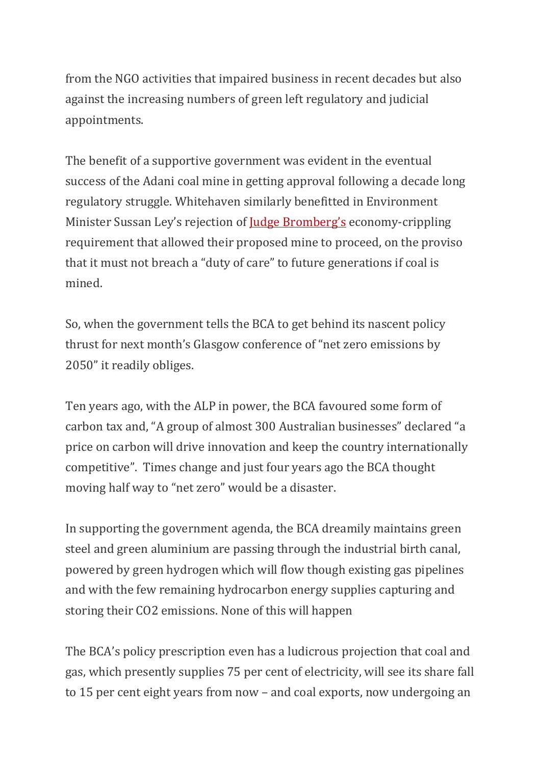from the NGO activities that impaired business in recent decades but also against the increasing numbers of green left regulatory and judicial appointments.

The benefit of a supportive government was evident in the eventual success of the Adani coal mine in getting approval following a decade long regulatory struggle. Whitehaven similarly benefitted in Environment Minister Sussan Ley's rejection of <u>[Judge Bromberg's](https://www.regulationeconomics.com/so/fdNmrz-bf/c?w=g3t-eUcTiRndhmkUwp4Zl5dVxcRQJSHMk4VrxRBh8jA.eyJ1IjoiaHR0cHM6Ly93d3cuYWZyLmNvbS9jb21wYW5pZXMvbWluaW5nL2NvYWwtYXBwcm92YWwtcmVqZWN0cy1jb3VydC1zLWNsaW1hdGUtY2FyZS1maW5kaW5nLTIwMjEwOTAyLXA1OG9iMCIsInIiOiIwYzcxNDM0ZC00ZTk5LTQxYzUtMzJkYi00ZTY0MTg4YTQ5YWMiLCJtIjoibHAifQ)</u> economy-crippling requirement that allowed their proposed mine to proceed, on the proviso that it must not breach a "duty of care" to future generations if coal is mined.

So, when the government tells the BCA to get behind its nascent policy thrust for next month's Glasgow conference of "net zero emissions by 2050" it readily obliges.

Ten years ago, with the ALP in power, the BCA favoured some form of carbon tax and, "A group of almost 300 Australian businesses" declared "a price on carbon will drive innovation and keep the country internationally competitive". Times change and just four years ago the BCA thought moving half way to "net zero" would be a disaster.

In supporting the government agenda, the BCA dreamily maintains green steel and green aluminium are passing through the industrial birth canal, powered by green hydrogen which will flow though existing gas pipelines and with the few remaining hydrocarbon energy supplies capturing and storing their CO2 emissions. None of this will happen

The BCA's policy prescription even has a ludicrous projection that coal and gas, which presently supplies 75 per cent of electricity, will see its share fall to 15 per cent eight years from now – and coal exports, now undergoing an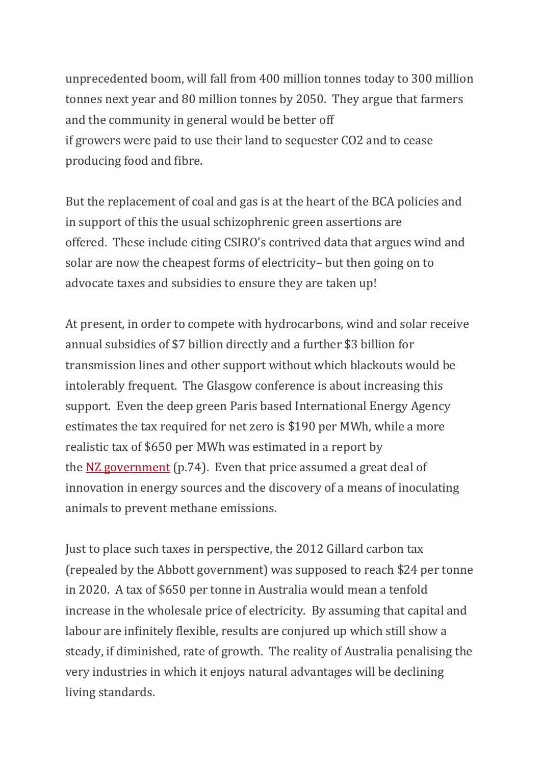unprecedented boom, will fall from 400 million tonnes today to 300 million tonnes next year and 80 million tonnes by 2050. They argue that farmers and the community in general would be better off if growers were paid to use their land to sequester CO2 and to cease producing food and fibre.

But the replacement of coal and gas is at the heart of the BCA policies and in support of this the usual schizophrenic green assertions are offered. These include citing CSIRO's contrived data that argues wind and solar are now the cheapest forms of electricity– but then going on to advocate taxes and subsidies to ensure they are taken up!

At present, in order to compete with hydrocarbons, wind and solar receive annual subsidies of \$7 billion directly and a further \$3 billion for transmission lines and other support without which blackouts would be intolerably frequent. The Glasgow conference is about increasing this support. Even the deep green Paris based International Energy Agency estimates the tax required for net zero is \$190 per MWh, while a more realistic tax of \$650 per MWh was estimated in a report by the NZ [government](https://www.productivity.govt.nz/assets/Documents/lowemissions/4e01d69a83/Productivity-Commission_Low-emissions-economy_Final-Report_FINAL_2-1.pdf) (p.74). Even that price assumed a great deal of innovation in energy sources and the discovery of a means of inoculating animals to prevent methane emissions.

Just to place such taxes in perspective, the 2012 Gillard carbon tax (repealed by the Abbott government) was supposed to reach \$24 per tonne in 2020. A tax of \$650 per tonne in Australia would mean a tenfold increase in the wholesale price of electricity. By assuming that capital and labour are infinitely flexible, results are conjured up which still show a steady, if diminished, rate of growth. The reality of Australia penalising the very industries in which it enjoys natural advantages will be declining living standards.